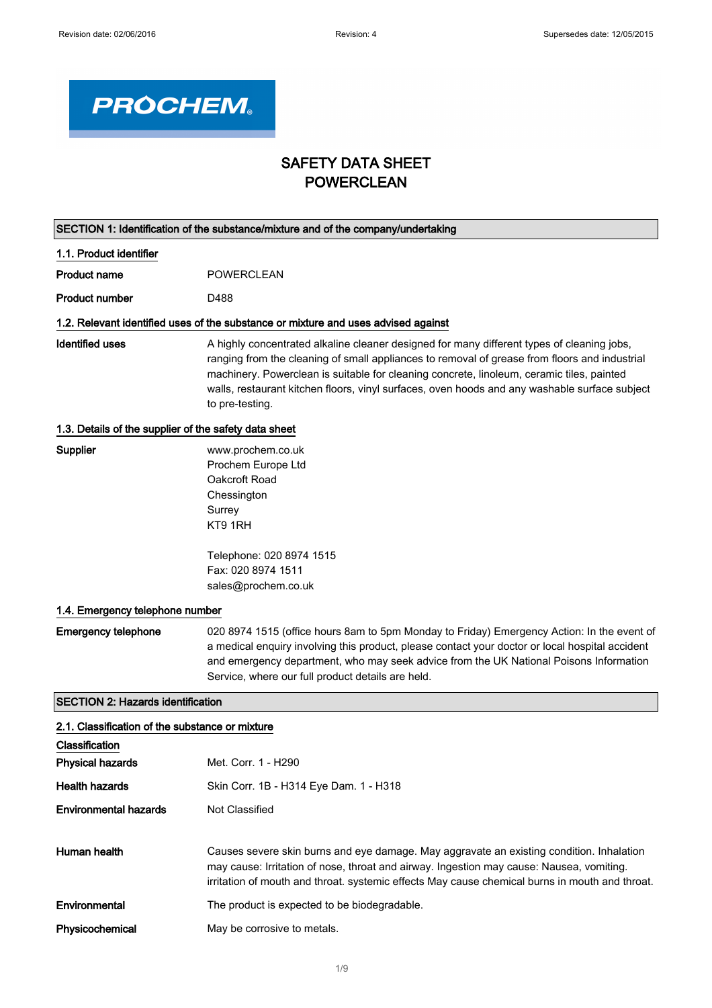

## SAFETY DATA SHEET POWERCLEAN

| SECTION 1: Identification of the substance/mixture and of the company/undertaking |                                                                                                                                                                                                                                                                                                                                                                                                              |  |
|-----------------------------------------------------------------------------------|--------------------------------------------------------------------------------------------------------------------------------------------------------------------------------------------------------------------------------------------------------------------------------------------------------------------------------------------------------------------------------------------------------------|--|
| 1.1. Product identifier                                                           |                                                                                                                                                                                                                                                                                                                                                                                                              |  |
| <b>Product name</b>                                                               | <b>POWERCLEAN</b>                                                                                                                                                                                                                                                                                                                                                                                            |  |
| <b>Product number</b>                                                             | D488                                                                                                                                                                                                                                                                                                                                                                                                         |  |
|                                                                                   | 1.2. Relevant identified uses of the substance or mixture and uses advised against                                                                                                                                                                                                                                                                                                                           |  |
| <b>Identified uses</b>                                                            | A highly concentrated alkaline cleaner designed for many different types of cleaning jobs,<br>ranging from the cleaning of small appliances to removal of grease from floors and industrial<br>machinery. Powerclean is suitable for cleaning concrete, linoleum, ceramic tiles, painted<br>walls, restaurant kitchen floors, vinyl surfaces, oven hoods and any washable surface subject<br>to pre-testing. |  |
| 1.3. Details of the supplier of the safety data sheet                             |                                                                                                                                                                                                                                                                                                                                                                                                              |  |
| Supplier                                                                          | www.prochem.co.uk<br>Prochem Europe Ltd<br>Oakcroft Road<br>Chessington<br>Surrey<br>KT9 1RH                                                                                                                                                                                                                                                                                                                 |  |
|                                                                                   | Telephone: 020 8974 1515<br>Fax: 020 8974 1511<br>sales@prochem.co.uk                                                                                                                                                                                                                                                                                                                                        |  |
| 1.4. Emergency telephone number                                                   |                                                                                                                                                                                                                                                                                                                                                                                                              |  |
| <b>Emergency telephone</b>                                                        | 020 8974 1515 (office hours 8am to 5pm Monday to Friday) Emergency Action: In the event of<br>a medical enquiry involving this product, please contact your doctor or local hospital accident<br>and emergency department, who may seek advice from the UK National Poisons Information<br>Service, where our full product details are held.                                                                 |  |
| <b>SECTION 2: Hazards identification</b>                                          |                                                                                                                                                                                                                                                                                                                                                                                                              |  |
| 2.1. Classification of the substance or mixture                                   |                                                                                                                                                                                                                                                                                                                                                                                                              |  |
| Classification                                                                    |                                                                                                                                                                                                                                                                                                                                                                                                              |  |
| <b>Physical hazards</b>                                                           | Met. Corr. 1 - H290                                                                                                                                                                                                                                                                                                                                                                                          |  |
| <b>Health hazards</b>                                                             | Skin Corr. 1B - H314 Eye Dam. 1 - H318                                                                                                                                                                                                                                                                                                                                                                       |  |
| <b>Environmental hazards</b>                                                      | Not Classified                                                                                                                                                                                                                                                                                                                                                                                               |  |
| Human health                                                                      | Causes severe skin burns and eye damage. May aggravate an existing condition. Inhalation<br>may cause: Irritation of nose, throat and airway. Ingestion may cause: Nausea, vomiting.<br>irritation of mouth and throat. systemic effects May cause chemical burns in mouth and throat.                                                                                                                       |  |
| Environmental                                                                     | The product is expected to be biodegradable.                                                                                                                                                                                                                                                                                                                                                                 |  |
| Physicochemical                                                                   | May be corrosive to metals.                                                                                                                                                                                                                                                                                                                                                                                  |  |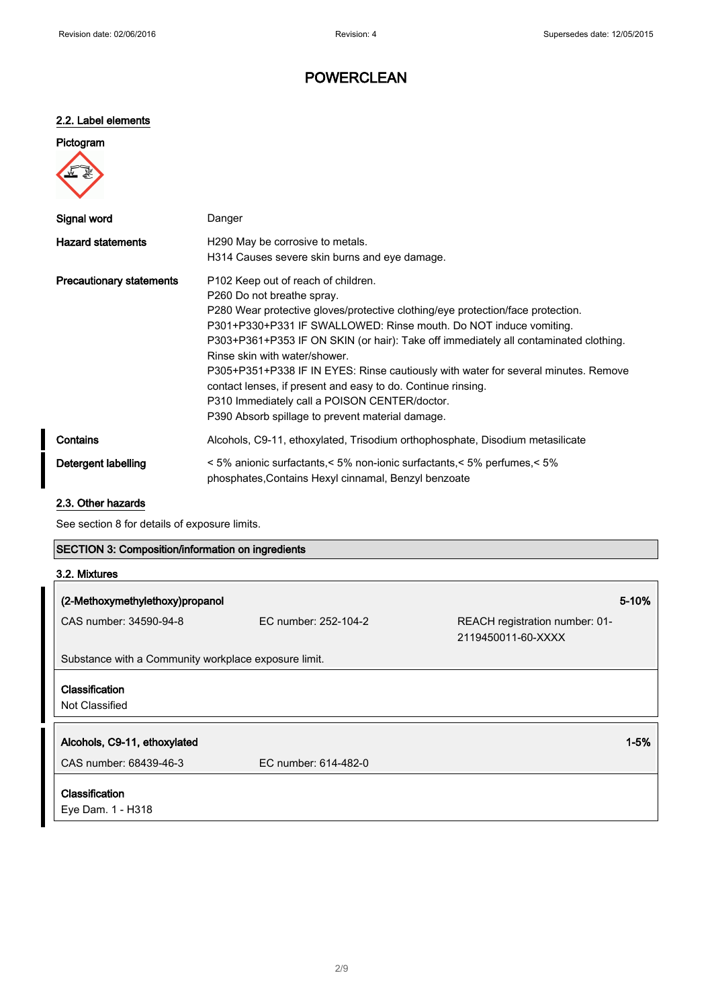### 2.2. Label elements

| Pictogram |  |
|-----------|--|
|           |  |

| Signal word                     | Danger                                                                                                                                                                                                                                                                                                                                                                                                                                                                                                                                                                                                                    |
|---------------------------------|---------------------------------------------------------------------------------------------------------------------------------------------------------------------------------------------------------------------------------------------------------------------------------------------------------------------------------------------------------------------------------------------------------------------------------------------------------------------------------------------------------------------------------------------------------------------------------------------------------------------------|
| <b>Hazard statements</b>        | H <sub>290</sub> May be corrosive to metals.<br>H314 Causes severe skin burns and eye damage.                                                                                                                                                                                                                                                                                                                                                                                                                                                                                                                             |
| <b>Precautionary statements</b> | P <sub>102</sub> Keep out of reach of children.<br>P260 Do not breathe spray.<br>P280 Wear protective gloves/protective clothing/eye protection/face protection.<br>P301+P330+P331 IF SWALLOWED: Rinse mouth. Do NOT induce vomiting.<br>P303+P361+P353 IF ON SKIN (or hair): Take off immediately all contaminated clothing.<br>Rinse skin with water/shower.<br>P305+P351+P338 IF IN EYES: Rinse cautiously with water for several minutes. Remove<br>contact lenses, if present and easy to do. Continue rinsing.<br>P310 Immediately call a POISON CENTER/doctor.<br>P390 Absorb spillage to prevent material damage. |
| Contains                        | Alcohols, C9-11, ethoxylated, Trisodium orthophosphate, Disodium metasilicate                                                                                                                                                                                                                                                                                                                                                                                                                                                                                                                                             |
| Detergent labelling             | $\leq 5\%$ anionic surfactants, $\leq 5\%$ non-ionic surfactants, $\leq 5\%$ perfumes, $\leq 5\%$<br>phosphates, Contains Hexyl cinnamal, Benzyl benzoate                                                                                                                                                                                                                                                                                                                                                                                                                                                                 |

#### 2.3. Other hazards

See section 8 for details of exposure limits.

## SECTION 3: Composition/information on ingredients

| 3.2. Mixtures |  |
|---------------|--|
|---------------|--|

| (2-Methoxymethylethoxy)propanol                      |                      | 5-10%                                                |
|------------------------------------------------------|----------------------|------------------------------------------------------|
| CAS number: 34590-94-8                               | EC number: 252-104-2 | REACH registration number: 01-<br>2119450011-60-XXXX |
| Substance with a Community workplace exposure limit. |                      |                                                      |
| Classification<br>Not Classified                     |                      |                                                      |
| Alcohols, C9-11, ethoxylated                         |                      | $1 - 5%$                                             |
| CAS number: 68439-46-3                               | EC number: 614-482-0 |                                                      |
| <b>Classification</b><br>Eye Dam. 1 - H318           |                      |                                                      |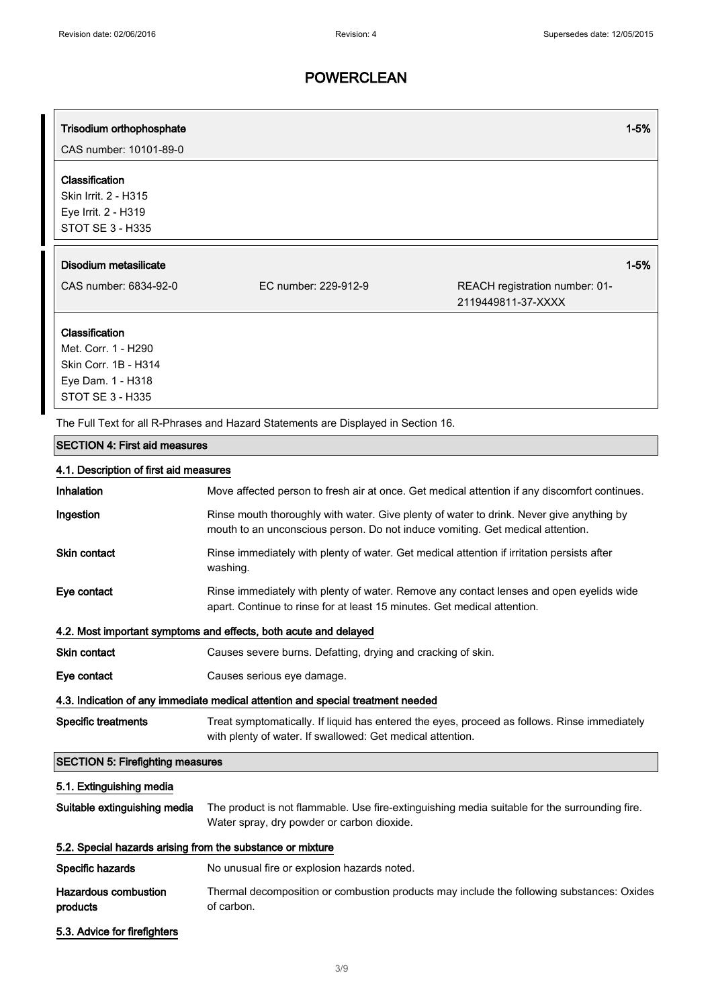# Trisodium orthophosphate 1996 and the control of the control of the control of the control of the control of the control of the control of the control of the control of the control of the control of the control of the cont CAS number: 10101-89-0 Classification Skin Irrit. 2 - H315 Eye Irrit. 2 - H319 STOT SE 3 - H335 Disodium metasilicate 1-5% CAS number: 6834-92-0 EC number: 229-912-9 REACH registration number: 01- 2119449811-37-XXXX Classification Met. Corr. 1 - H290 Skin Corr. 1B - H314 Eye Dam. 1 - H318 STOT SE 3 - H335 The Full Text for all R-Phrases and Hazard Statements are Displayed in Section 16. SECTION 4: First aid measures 4.1. Description of first aid measures Inhalation Move affected person to fresh air at once. Get medical attention if any discomfort continues. Ingestion **Rinse mouth thoroughly with water. Give plenty of water to drink. Never give anything by** mouth to an unconscious person. Do not induce vomiting. Get medical attention. Skin contact **Rinse immediately with plenty of water. Get medical attention if irritation persists after** washing. Eye contact Rinse immediately with plenty of water. Remove any contact lenses and open eyelids wide apart. Continue to rinse for at least 15 minutes. Get medical attention. 4.2. Most important symptoms and effects, both acute and delayed Skin contact Causes severe burns. Defatting, drying and cracking of skin. Eve contact Causes serious eye damage. 4.3. Indication of any immediate medical attention and special treatment needed Specific treatments Treat symptomatically. If liquid has entered the eyes, proceed as follows. Rinse immediately with plenty of water. If swallowed: Get medical attention. SECTION 5: Firefighting measures 5.1. Extinguishing media Suitable extinguishing media The product is not flammable. Use fire-extinguishing media suitable for the surrounding fire. Water spray, dry powder or carbon dioxide. 5.2. Special hazards arising from the substance or mixture Specific hazards Mo unusual fire or explosion hazards noted. Hazardous combustion products Thermal decomposition or combustion products may include the following substances: Oxides of carbon.

5.3. Advice for firefighters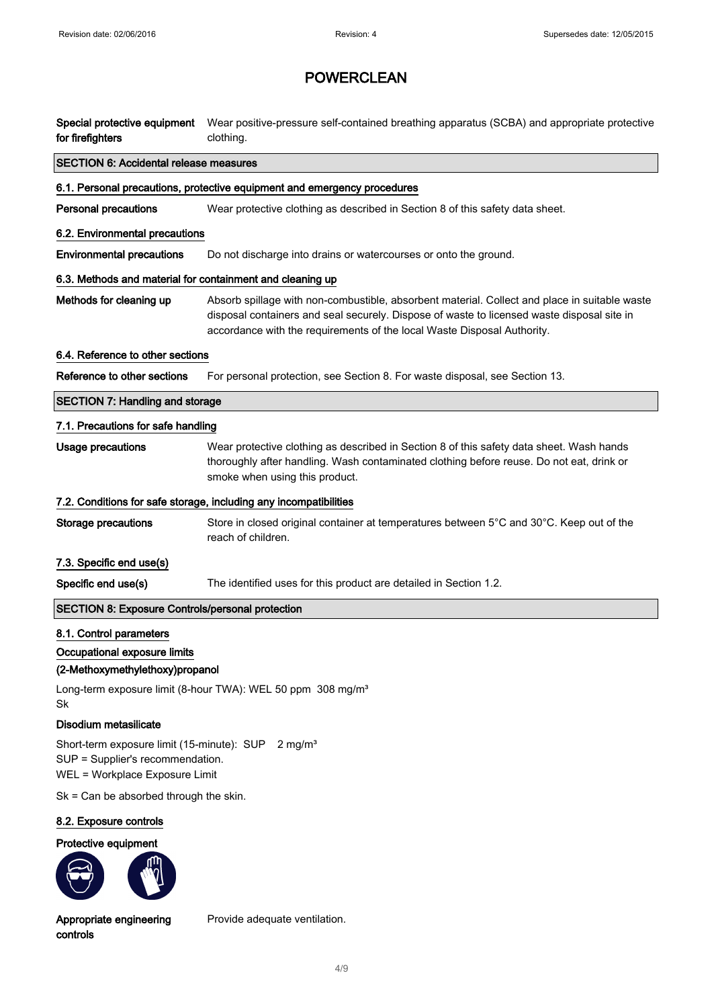| for firefighters                                                                                                                     | Special protective equipment Wear positive-pressure self-contained breathing apparatus (SCBA) and appropriate protective<br>clothing.                                                                                                                                  |  |  |
|--------------------------------------------------------------------------------------------------------------------------------------|------------------------------------------------------------------------------------------------------------------------------------------------------------------------------------------------------------------------------------------------------------------------|--|--|
| <b>SECTION 6: Accidental release measures</b>                                                                                        |                                                                                                                                                                                                                                                                        |  |  |
|                                                                                                                                      | 6.1. Personal precautions, protective equipment and emergency procedures                                                                                                                                                                                               |  |  |
| <b>Personal precautions</b>                                                                                                          | Wear protective clothing as described in Section 8 of this safety data sheet.                                                                                                                                                                                          |  |  |
| 6.2. Environmental precautions                                                                                                       |                                                                                                                                                                                                                                                                        |  |  |
| <b>Environmental precautions</b>                                                                                                     | Do not discharge into drains or watercourses or onto the ground.                                                                                                                                                                                                       |  |  |
| 6.3. Methods and material for containment and cleaning up                                                                            |                                                                                                                                                                                                                                                                        |  |  |
| Methods for cleaning up                                                                                                              | Absorb spillage with non-combustible, absorbent material. Collect and place in suitable waste<br>disposal containers and seal securely. Dispose of waste to licensed waste disposal site in<br>accordance with the requirements of the local Waste Disposal Authority. |  |  |
| 6.4. Reference to other sections                                                                                                     |                                                                                                                                                                                                                                                                        |  |  |
| Reference to other sections                                                                                                          | For personal protection, see Section 8. For waste disposal, see Section 13.                                                                                                                                                                                            |  |  |
| <b>SECTION 7: Handling and storage</b>                                                                                               |                                                                                                                                                                                                                                                                        |  |  |
| 7.1. Precautions for safe handling                                                                                                   |                                                                                                                                                                                                                                                                        |  |  |
| <b>Usage precautions</b>                                                                                                             | Wear protective clothing as described in Section 8 of this safety data sheet. Wash hands<br>thoroughly after handling. Wash contaminated clothing before reuse. Do not eat, drink or<br>smoke when using this product.                                                 |  |  |
|                                                                                                                                      | 7.2. Conditions for safe storage, including any incompatibilities                                                                                                                                                                                                      |  |  |
| <b>Storage precautions</b>                                                                                                           | Store in closed original container at temperatures between 5°C and 30°C. Keep out of the<br>reach of children.                                                                                                                                                         |  |  |
| 7.3. Specific end use(s)                                                                                                             |                                                                                                                                                                                                                                                                        |  |  |
| Specific end use(s)                                                                                                                  | The identified uses for this product are detailed in Section 1.2.                                                                                                                                                                                                      |  |  |
| <b>SECTION 8: Exposure Controls/personal protection</b>                                                                              |                                                                                                                                                                                                                                                                        |  |  |
| 8.1. Control parameters                                                                                                              |                                                                                                                                                                                                                                                                        |  |  |
| Occupational exposure limits                                                                                                         |                                                                                                                                                                                                                                                                        |  |  |
| (2-Methoxymethylethoxy)propanol                                                                                                      |                                                                                                                                                                                                                                                                        |  |  |
| Sk                                                                                                                                   | Long-term exposure limit (8-hour TWA): WEL 50 ppm 308 mg/m <sup>3</sup>                                                                                                                                                                                                |  |  |
| Disodium metasilicate                                                                                                                |                                                                                                                                                                                                                                                                        |  |  |
| Short-term exposure limit (15-minute): SUP 2 mg/m <sup>3</sup><br>SUP = Supplier's recommendation.<br>WEL = Workplace Exposure Limit |                                                                                                                                                                                                                                                                        |  |  |
| $Sk = Can be absorbed through the skin.$                                                                                             |                                                                                                                                                                                                                                                                        |  |  |
| 8.2. Exposure controls                                                                                                               |                                                                                                                                                                                                                                                                        |  |  |
| Protective equipment                                                                                                                 |                                                                                                                                                                                                                                                                        |  |  |

Appropriate engineering controls

Provide adequate ventilation.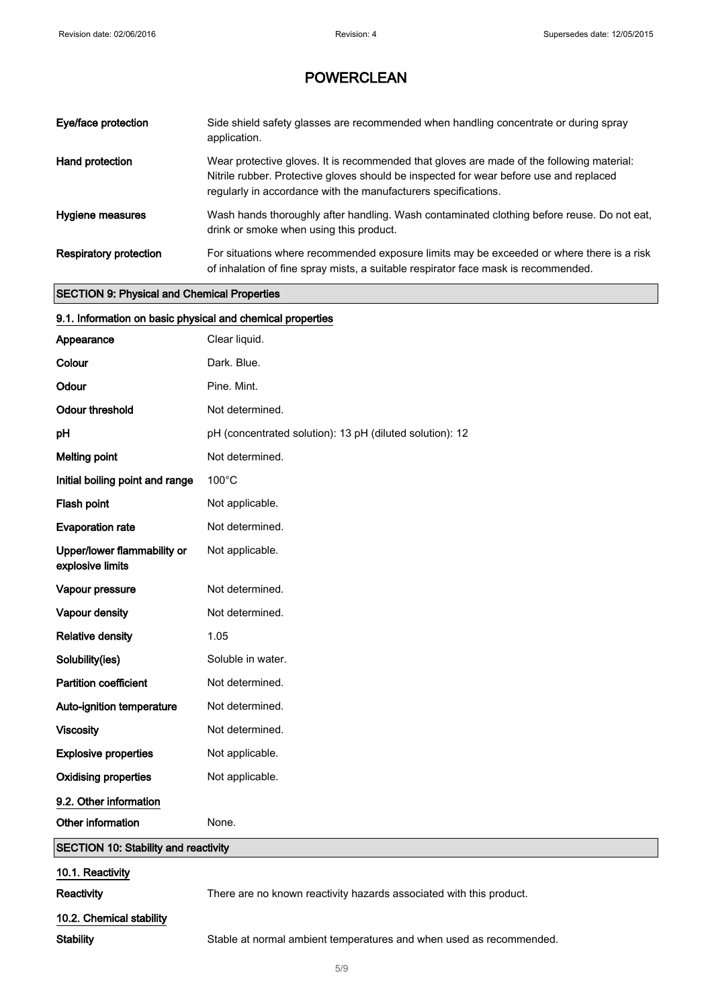| Eye/face protection           | Side shield safety glasses are recommended when handling concentrate or during spray<br>application.                                                                                                                                                  |
|-------------------------------|-------------------------------------------------------------------------------------------------------------------------------------------------------------------------------------------------------------------------------------------------------|
| Hand protection               | Wear protective gloves. It is recommended that gloves are made of the following material:<br>Nitrile rubber. Protective gloves should be inspected for wear before use and replaced<br>regularly in accordance with the manufacturers specifications. |
| Hygiene measures              | Wash hands thoroughly after handling. Wash contaminated clothing before reuse. Do not eat,<br>drink or smoke when using this product.                                                                                                                 |
| <b>Respiratory protection</b> | For situations where recommended exposure limits may be exceeded or where there is a risk<br>of inhalation of fine spray mists, a suitable respirator face mask is recommended.                                                                       |

#### SECTION 9: Physical and Chemical Properties

| 9.1. Information on basic physical and chemical properties |                                                          |
|------------------------------------------------------------|----------------------------------------------------------|
| Appearance                                                 | Clear liquid.                                            |
| Colour                                                     | Dark. Blue.                                              |
| Odour                                                      | Pine. Mint.                                              |
| <b>Odour threshold</b>                                     | Not determined.                                          |
| pH                                                         | pH (concentrated solution): 13 pH (diluted solution): 12 |
| <b>Melting point</b>                                       | Not determined.                                          |
| Initial boiling point and range                            | 100°C                                                    |
| Flash point                                                | Not applicable.                                          |
| <b>Evaporation rate</b>                                    | Not determined.                                          |
| Upper/lower flammability or<br>explosive limits            | Not applicable.                                          |
| Vapour pressure                                            | Not determined.                                          |
| Vapour density                                             | Not determined.                                          |
| <b>Relative density</b>                                    | 1.05                                                     |
| Solubility(ies)                                            | Soluble in water.                                        |
| <b>Partition coefficient</b>                               | Not determined.                                          |
| Auto-ignition temperature                                  | Not determined.                                          |
| <b>Viscosity</b>                                           | Not determined.                                          |
| <b>Explosive properties</b>                                | Not applicable.                                          |
| <b>Oxidising properties</b>                                | Not applicable.                                          |
| 9.2. Other information                                     |                                                          |
| Other information                                          | None.                                                    |
| <b>SECTION 10: Stability and reactivity</b>                |                                                          |

### 10.1. Reactivity

Reactivity **Reactivity** There are no known reactivity hazards associated with this product.

### 10.2. Chemical stability

Stability Stable at normal ambient temperatures and when used as recommended.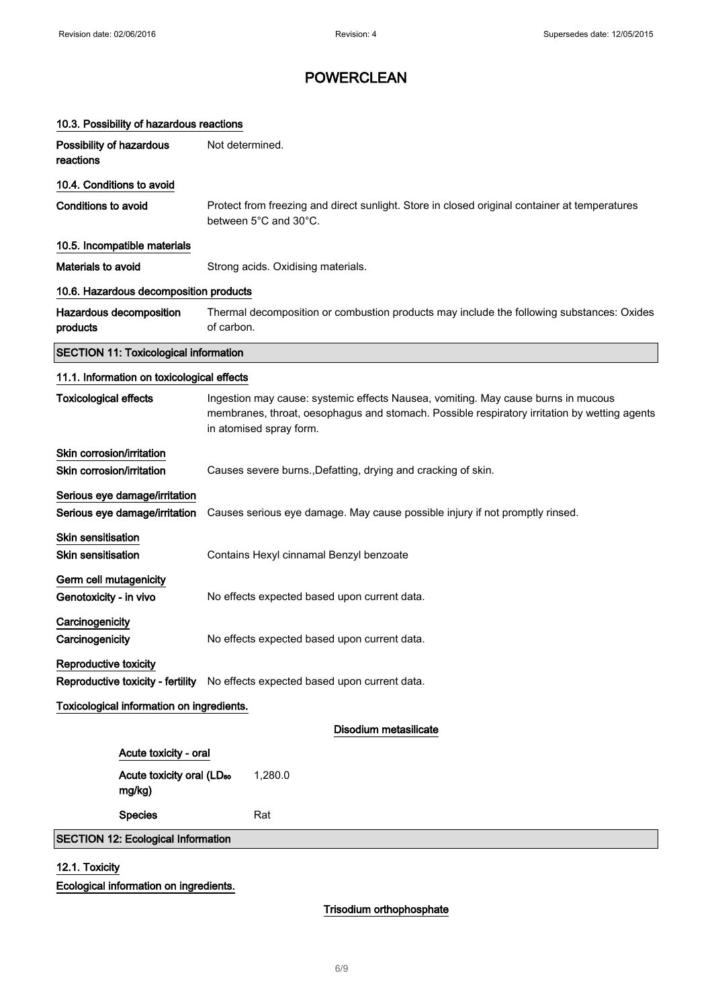| 10.3. Possibility of hazardous reactions                                                                                                                                                                                                     |                                                                                                                        |  |
|----------------------------------------------------------------------------------------------------------------------------------------------------------------------------------------------------------------------------------------------|------------------------------------------------------------------------------------------------------------------------|--|
| Possibility of hazardous<br>reactions                                                                                                                                                                                                        | Not determined.                                                                                                        |  |
| 10.4. Conditions to avoid                                                                                                                                                                                                                    |                                                                                                                        |  |
| <b>Conditions to avoid</b>                                                                                                                                                                                                                   | Protect from freezing and direct sunlight. Store in closed original container at temperatures<br>between 5°C and 30°C. |  |
| 10.5. Incompatible materials                                                                                                                                                                                                                 |                                                                                                                        |  |
| Materials to avoid                                                                                                                                                                                                                           | Strong acids. Oxidising materials.                                                                                     |  |
| 10.6. Hazardous decomposition products                                                                                                                                                                                                       |                                                                                                                        |  |
| Hazardous decomposition<br>products                                                                                                                                                                                                          | Thermal decomposition or combustion products may include the following substances: Oxides<br>of carbon.                |  |
| <b>SECTION 11: Toxicological information</b>                                                                                                                                                                                                 |                                                                                                                        |  |
| 11.1. Information on toxicological effects                                                                                                                                                                                                   |                                                                                                                        |  |
| <b>Toxicological effects</b><br>Ingestion may cause: systemic effects Nausea, vomiting. May cause burns in mucous<br>membranes, throat, oesophagus and stomach. Possible respiratory irritation by wetting agents<br>in atomised spray form. |                                                                                                                        |  |
| Skin corrosion/irritation                                                                                                                                                                                                                    |                                                                                                                        |  |
| Skin corrosion/irritation<br>Causes severe burns., Defatting, drying and cracking of skin.                                                                                                                                                   |                                                                                                                        |  |
| Serious eye damage/irritation<br>Serious eye damage/irritation                                                                                                                                                                               | Causes serious eye damage. May cause possible injury if not promptly rinsed.                                           |  |
| Skin sensitisation<br><b>Skin sensitisation</b>                                                                                                                                                                                              | Contains Hexyl cinnamal Benzyl benzoate                                                                                |  |
| Germ cell mutagenicity<br>Genotoxicity - in vivo                                                                                                                                                                                             | No effects expected based upon current data.                                                                           |  |
| Carcinogenicity<br>Carcinogenicity                                                                                                                                                                                                           | No effects expected based upon current data.                                                                           |  |
| Reproductive toxicity                                                                                                                                                                                                                        | Reproductive toxicity - fertility No effects expected based upon current data.                                         |  |
| Toxicological information on ingredients.                                                                                                                                                                                                    |                                                                                                                        |  |
|                                                                                                                                                                                                                                              | Disodium metasilicate                                                                                                  |  |
| Acute toxicity - oral                                                                                                                                                                                                                        |                                                                                                                        |  |
| Acute toxicity oral (LD <sub>50</sub><br>mg/kg)                                                                                                                                                                                              | 1,280.0                                                                                                                |  |
| <b>Species</b>                                                                                                                                                                                                                               | Rat                                                                                                                    |  |
| <b>SECTION 12: Ecological Information</b>                                                                                                                                                                                                    |                                                                                                                        |  |
|                                                                                                                                                                                                                                              |                                                                                                                        |  |

### 12.1. Toxicity

Ecological information on ingredients.

Trisodium orthophosphate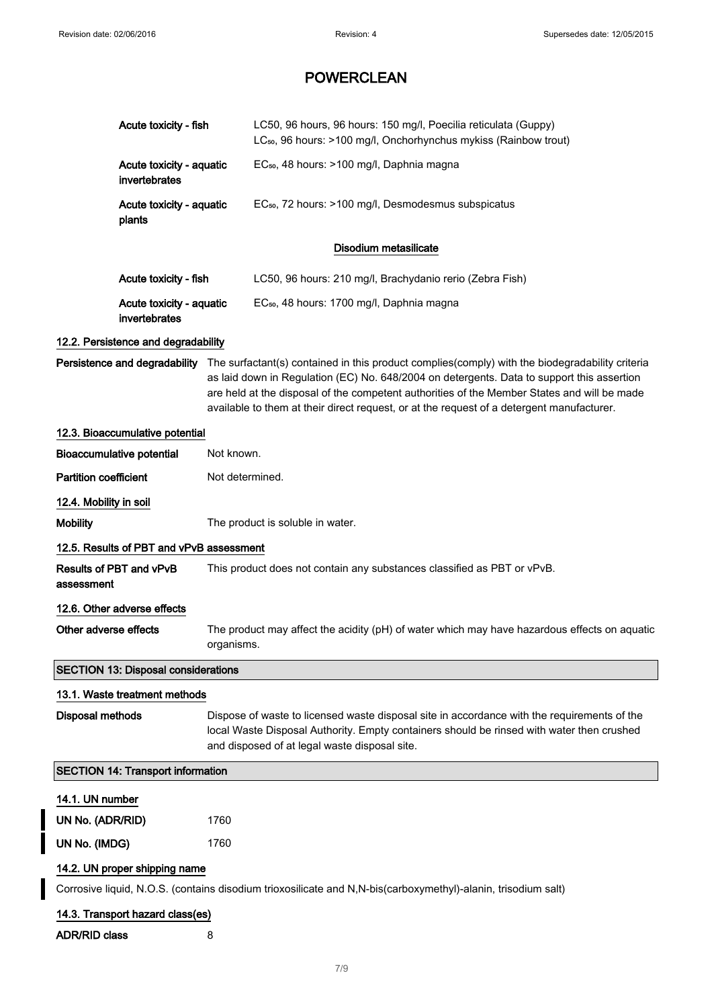|  | Acute toxicity - fish                                                                                            |            | LC50, 96 hours, 96 hours: 150 mg/l, Poecilia reticulata (Guppy)<br>LC <sub>50</sub> , 96 hours: >100 mg/l, Onchorhynchus mykiss (Rainbow trout)                                                                                                                                                                                                                                                                         |  |
|--|------------------------------------------------------------------------------------------------------------------|------------|-------------------------------------------------------------------------------------------------------------------------------------------------------------------------------------------------------------------------------------------------------------------------------------------------------------------------------------------------------------------------------------------------------------------------|--|
|  | Acute toxicity - aquatic<br>invertebrates<br>Acute toxicity - aquatic<br>plants                                  |            | EC <sub>50</sub> , 48 hours: >100 mg/l, Daphnia magna                                                                                                                                                                                                                                                                                                                                                                   |  |
|  |                                                                                                                  |            | EC <sub>50</sub> , 72 hours: >100 mg/l, Desmodesmus subspicatus                                                                                                                                                                                                                                                                                                                                                         |  |
|  |                                                                                                                  |            | Disodium metasilicate                                                                                                                                                                                                                                                                                                                                                                                                   |  |
|  | Acute toxicity - fish                                                                                            |            | LC50, 96 hours: 210 mg/l, Brachydanio rerio (Zebra Fish)                                                                                                                                                                                                                                                                                                                                                                |  |
|  | Acute toxicity - aquatic<br>invertebrates                                                                        |            | EC <sub>50</sub> , 48 hours: 1700 mg/l, Daphnia magna                                                                                                                                                                                                                                                                                                                                                                   |  |
|  | 12.2. Persistence and degradability                                                                              |            |                                                                                                                                                                                                                                                                                                                                                                                                                         |  |
|  |                                                                                                                  |            | Persistence and degradability The surfactant(s) contained in this product complies(comply) with the biodegradability criteria<br>as laid down in Regulation (EC) No. 648/2004 on detergents. Data to support this assertion<br>are held at the disposal of the competent authorities of the Member States and will be made<br>available to them at their direct request, or at the request of a detergent manufacturer. |  |
|  | 12.3. Bioaccumulative potential                                                                                  |            |                                                                                                                                                                                                                                                                                                                                                                                                                         |  |
|  | <b>Bioaccumulative potential</b>                                                                                 | Not known. |                                                                                                                                                                                                                                                                                                                                                                                                                         |  |
|  | <b>Partition coefficient</b><br>12.4. Mobility in soil                                                           |            | Not determined.                                                                                                                                                                                                                                                                                                                                                                                                         |  |
|  |                                                                                                                  |            |                                                                                                                                                                                                                                                                                                                                                                                                                         |  |
|  | <b>Mobility</b>                                                                                                  |            | The product is soluble in water.                                                                                                                                                                                                                                                                                                                                                                                        |  |
|  | 12.5. Results of PBT and vPvB assessment                                                                         |            |                                                                                                                                                                                                                                                                                                                                                                                                                         |  |
|  | Results of PBT and vPvB<br>assessment                                                                            |            | This product does not contain any substances classified as PBT or vPvB.                                                                                                                                                                                                                                                                                                                                                 |  |
|  | 12.6. Other adverse effects<br>Other adverse effects<br>organisms.<br><b>SECTION 13: Disposal considerations</b> |            |                                                                                                                                                                                                                                                                                                                                                                                                                         |  |
|  |                                                                                                                  |            | The product may affect the acidity (pH) of water which may have hazardous effects on aquatic                                                                                                                                                                                                                                                                                                                            |  |
|  |                                                                                                                  |            |                                                                                                                                                                                                                                                                                                                                                                                                                         |  |
|  | 13.1. Waste treatment methods                                                                                    |            |                                                                                                                                                                                                                                                                                                                                                                                                                         |  |
|  | <b>Disposal methods</b>                                                                                          |            | Dispose of waste to licensed waste disposal site in accordance with the requirements of the<br>local Waste Disposal Authority. Empty containers should be rinsed with water then crushed<br>and disposed of at legal waste disposal site.                                                                                                                                                                               |  |
|  | <b>SECTION 14: Transport information</b>                                                                         |            |                                                                                                                                                                                                                                                                                                                                                                                                                         |  |
|  | 14.1. UN number                                                                                                  |            |                                                                                                                                                                                                                                                                                                                                                                                                                         |  |
|  | UN No. (ADR/RID)                                                                                                 | 1760       |                                                                                                                                                                                                                                                                                                                                                                                                                         |  |
|  | UN No. (IMDG)                                                                                                    | 1760       |                                                                                                                                                                                                                                                                                                                                                                                                                         |  |
|  | 14.2. UN proper shipping name                                                                                    |            |                                                                                                                                                                                                                                                                                                                                                                                                                         |  |
|  |                                                                                                                  |            | Corrosive liquid, N.O.S. (contains disodium trioxosilicate and N,N-bis(carboxymethyl)-alanin, trisodium salt)                                                                                                                                                                                                                                                                                                           |  |
|  | 14.3. Transport hazard class(es)                                                                                 |            |                                                                                                                                                                                                                                                                                                                                                                                                                         |  |
|  | <b>ADR/RID class</b>                                                                                             | 8          |                                                                                                                                                                                                                                                                                                                                                                                                                         |  |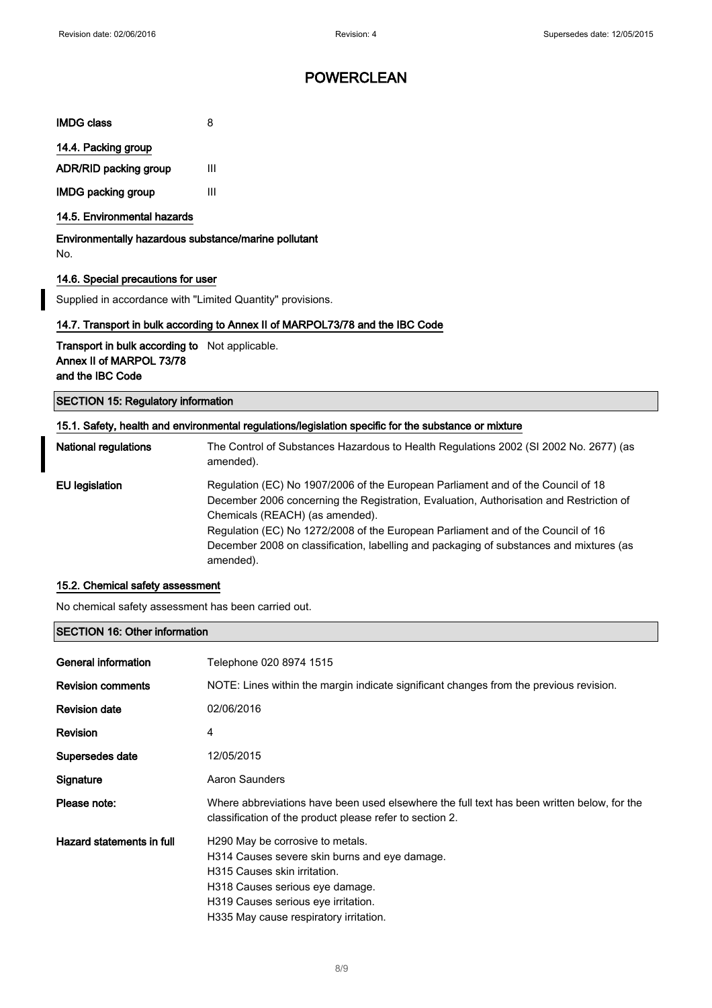| <b>IMDG class</b>         | 8 |
|---------------------------|---|
| 14.4. Packing group       |   |
| ADR/RID packing group     | Ш |
| <b>IMDG packing group</b> | Ш |

### 14.5. Environmental hazards

Environmentally hazardous substance/marine pollutant No.

#### 14.6. Special precautions for user

Supplied in accordance with "Limited Quantity" provisions.

#### 14.7. Transport in bulk according to Annex II of MARPOL73/78 and the IBC Code

Transport in bulk according to Not applicable. Annex II of MARPOL 73/78 and the IBC Code

SECTION 15: Regulatory information

#### 15.1. Safety, health and environmental regulations/legislation specific for the substance or mixture

| <b>National regulations</b> | The Control of Substances Hazardous to Health Regulations 2002 (SI 2002 No. 2677) (as<br>amended).                                                                                                                                                                                                                                                                                                         |
|-----------------------------|------------------------------------------------------------------------------------------------------------------------------------------------------------------------------------------------------------------------------------------------------------------------------------------------------------------------------------------------------------------------------------------------------------|
| EU legislation              | Regulation (EC) No 1907/2006 of the European Parliament and of the Council of 18<br>December 2006 concerning the Registration, Evaluation, Authorisation and Restriction of<br>Chemicals (REACH) (as amended).<br>Regulation (EC) No 1272/2008 of the European Parliament and of the Council of 16<br>December 2008 on classification, labelling and packaging of substances and mixtures (as<br>amended). |

#### 15.2. Chemical safety assessment

No chemical safety assessment has been carried out.

#### SECTION 16: Other information

| General information       | Telephone 020 8974 1515                                                                                                                                                                                                               |
|---------------------------|---------------------------------------------------------------------------------------------------------------------------------------------------------------------------------------------------------------------------------------|
| <b>Revision comments</b>  | NOTE: Lines within the margin indicate significant changes from the previous revision.                                                                                                                                                |
| <b>Revision date</b>      | 02/06/2016                                                                                                                                                                                                                            |
| Revision                  | 4                                                                                                                                                                                                                                     |
| Supersedes date           | 12/05/2015                                                                                                                                                                                                                            |
| Signature                 | Aaron Saunders                                                                                                                                                                                                                        |
| Please note:              | Where abbreviations have been used elsewhere the full text has been written below, for the<br>classification of the product please refer to section 2.                                                                                |
| Hazard statements in full | H290 May be corrosive to metals.<br>H314 Causes severe skin burns and eye damage.<br>H315 Causes skin irritation.<br>H318 Causes serious eye damage.<br>H319 Causes serious eye irritation.<br>H335 May cause respiratory irritation. |